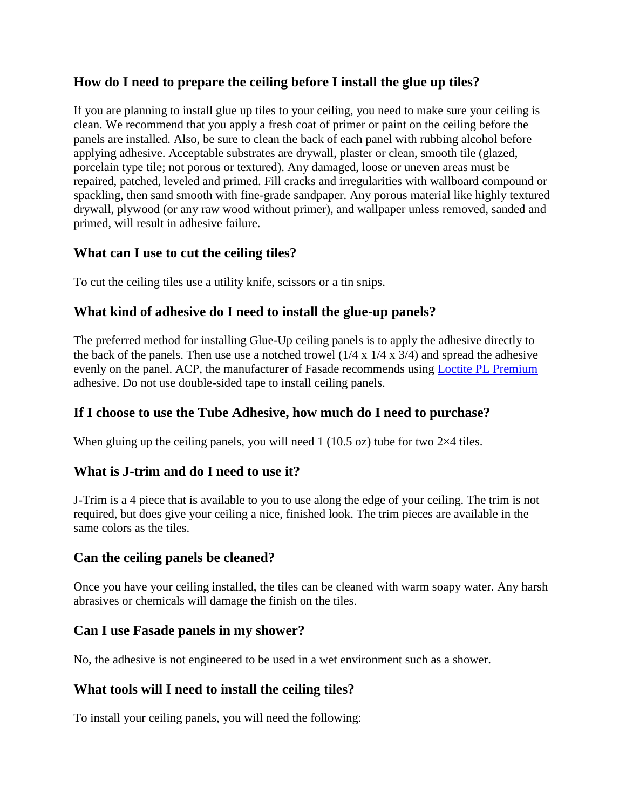# **How do I need to prepare the ceiling before I install the glue up tiles?**

If you are planning to install glue up tiles to your ceiling, you need to make sure your ceiling is clean. We recommend that you apply a fresh coat of primer or paint on the ceiling before the panels are installed. Also, be sure to clean the back of each panel with rubbing alcohol before applying adhesive. Acceptable substrates are drywall, plaster or clean, smooth tile (glazed, porcelain type tile; not porous or textured). Any damaged, loose or uneven areas must be repaired, patched, leveled and primed. Fill cracks and irregularities with wallboard compound or spackling, then sand smooth with fine-grade sandpaper. Any porous material like highly textured drywall, plywood (or any raw wood without primer), and wallpaper unless removed, sanded and primed, will result in adhesive failure.

### **What can I use to cut the ceiling tiles?**

To cut the ceiling tiles use a utility knife, scissors or a tin snips.

# **What kind of adhesive do I need to install the glue-up panels?**

The preferred method for installing Glue-Up ceiling panels is to apply the adhesive directly to the back of the panels. Then use use a notched trowel  $(1/4 \times 1/4 \times 3/4)$  and spread the adhesive evenly on the panel. ACP, the manufacturer of Fasade recommends using [Loctite PL Premium](https://diydecorstore.com/wall-panel/accessories/loctite-pl-premium-polyurethane-construction-adhesive) adhesive. Do not use double-sided tape to install ceiling panels.

### **If I choose to use the Tube Adhesive, how much do I need to purchase?**

When gluing up the ceiling panels, you will need  $1$  (10.5 oz) tube for two  $2\times4$  tiles.

### **What is J-trim and do I need to use it?**

J-Trim is a 4 piece that is available to you to use along the edge of your ceiling. The trim is not required, but does give your ceiling a nice, finished look. The trim pieces are available in the same colors as the tiles.

#### **Can the ceiling panels be cleaned?**

Once you have your ceiling installed, the tiles can be cleaned with warm soapy water. Any harsh abrasives or chemicals will damage the finish on the tiles.

### **Can I use Fasade panels in my shower?**

No, the adhesive is not engineered to be used in a wet environment such as a shower.

### **What tools will I need to install the ceiling tiles?**

To install your ceiling panels, you will need the following: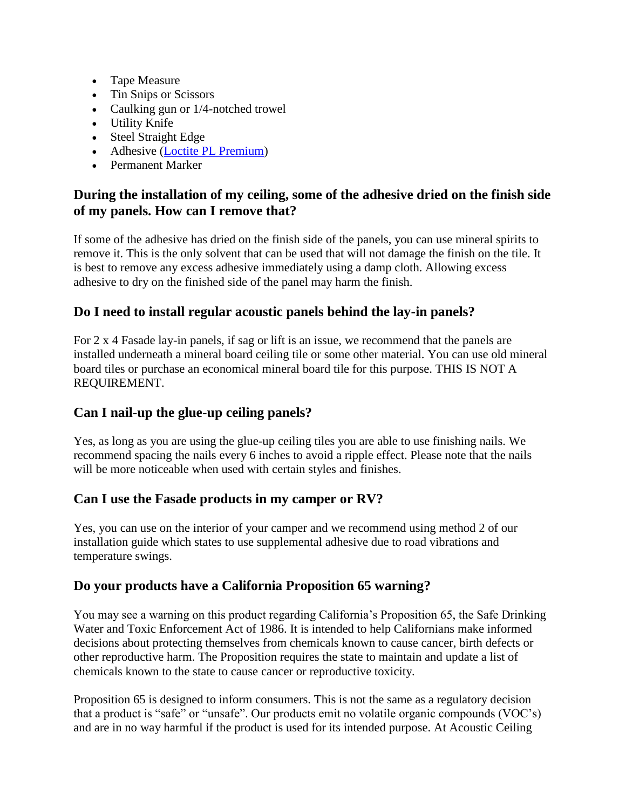- Tape Measure
- Tin Snips or Scissors
- Caulking gun or 1/4-notched trowel
- Utility Knife
- Steel Straight Edge
- Adhesive [\(Loctite PL Premium\)](https://diydecorstore.com/wall-panel/accessories/loctite-pl-premium-polyurethane-construction-adhesive)
- Permanent Marker

# **During the installation of my ceiling, some of the adhesive dried on the finish side of my panels. How can I remove that?**

If some of the adhesive has dried on the finish side of the panels, you can use mineral spirits to remove it. This is the only solvent that can be used that will not damage the finish on the tile. It is best to remove any excess adhesive immediately using a damp cloth. Allowing excess adhesive to dry on the finished side of the panel may harm the finish.

# **Do I need to install regular acoustic panels behind the lay-in panels?**

For 2 x 4 Fasade lay-in panels, if sag or lift is an issue, we recommend that the panels are installed underneath a mineral board ceiling tile or some other material. You can use old mineral board tiles or purchase an economical mineral board tile for this purpose. THIS IS NOT A REQUIREMENT.

# **Can I nail-up the glue-up ceiling panels?**

Yes, as long as you are using the glue-up ceiling tiles you are able to use finishing nails. We recommend spacing the nails every 6 inches to avoid a ripple effect. Please note that the nails will be more noticeable when used with certain styles and finishes.

### **Can I use the Fasade products in my camper or RV?**

Yes, you can use on the interior of your camper and we recommend using method 2 of our installation guide which states to use supplemental adhesive due to road vibrations and temperature swings.

# **Do your products have a California Proposition 65 warning?**

You may see a warning on this product regarding California's Proposition 65, the Safe Drinking Water and Toxic Enforcement Act of 1986. It is intended to help Californians make informed decisions about protecting themselves from chemicals known to cause cancer, birth defects or other reproductive harm. The Proposition requires the state to maintain and update a list of chemicals known to the state to cause cancer or reproductive toxicity.

Proposition 65 is designed to inform consumers. This is not the same as a regulatory decision that a product is "safe" or "unsafe". Our products emit no volatile organic compounds (VOC's) and are in no way harmful if the product is used for its intended purpose. At Acoustic Ceiling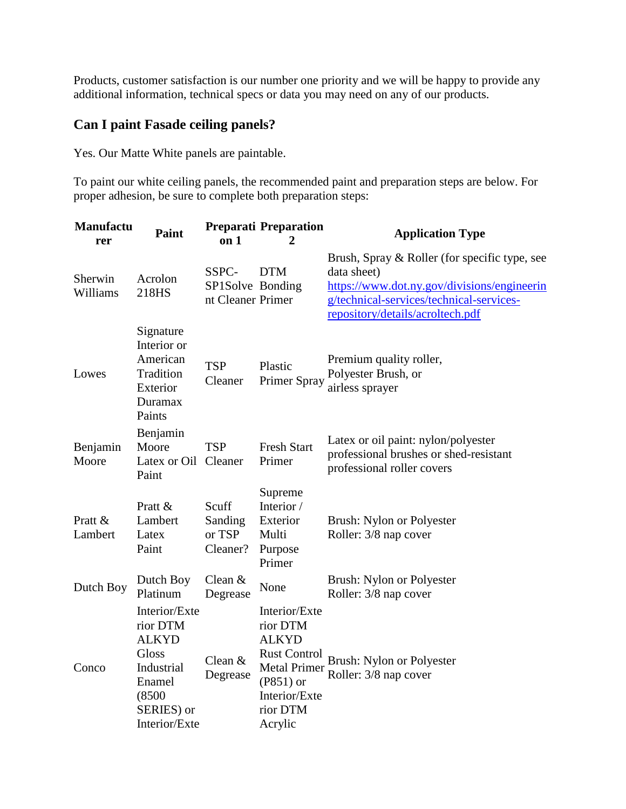Products, customer satisfaction is our number one priority and we will be happy to provide any additional information, technical specs or data you may need on any of our products.

### **Can I paint Fasade ceiling panels?**

Yes. Our Matte White panels are paintable.

To paint our white ceiling panels, the recommended paint and preparation steps are below. For proper adhesion, be sure to complete both preparation steps:

| <b>Manufactu</b><br>rer | <b>Paint</b>                                                                                                        | on 1                                           | <b>Preparati Preparation</b><br>2                                                                                                              | <b>Application Type</b>                                                                                                                                                                     |
|-------------------------|---------------------------------------------------------------------------------------------------------------------|------------------------------------------------|------------------------------------------------------------------------------------------------------------------------------------------------|---------------------------------------------------------------------------------------------------------------------------------------------------------------------------------------------|
| Sherwin<br>Williams     | Acrolon<br>218HS                                                                                                    | SSPC-<br>SP1Solve Bonding<br>nt Cleaner Primer | <b>DTM</b>                                                                                                                                     | Brush, Spray & Roller (for specific type, see<br>data sheet)<br>https://www.dot.ny.gov/divisions/engineerin<br>g/technical-services/technical-services-<br>repository/details/acroltech.pdf |
| Lowes                   | Signature<br>Interior or<br>American<br>Tradition<br>Exterior<br>Duramax<br>Paints                                  | <b>TSP</b><br>Cleaner                          | Plastic<br>Primer Spray                                                                                                                        | Premium quality roller,<br>Polyester Brush, or<br>airless sprayer                                                                                                                           |
| Benjamin<br>Moore       | Benjamin<br>Moore<br>Latex or Oil<br>Paint                                                                          | <b>TSP</b><br>Cleaner                          | <b>Fresh Start</b><br>Primer                                                                                                                   | Latex or oil paint: nylon/polyester<br>professional brushes or shed-resistant<br>professional roller covers                                                                                 |
| Pratt &<br>Lambert      | Pratt &<br>Lambert<br>Latex<br>Paint                                                                                | Scuff<br>Sanding<br>or TSP<br>Cleaner?         | Supreme<br>Interior /<br>Exterior<br>Multi<br>Purpose<br>Primer                                                                                | Brush: Nylon or Polyester<br>Roller: 3/8 nap cover                                                                                                                                          |
| Dutch Boy               | Dutch Boy<br>Platinum                                                                                               | Clean &<br>Degrease                            | None                                                                                                                                           | Brush: Nylon or Polyester<br>Roller: 3/8 nap cover                                                                                                                                          |
| Conco                   | Interior/Exte<br>rior DTM<br><b>ALKYD</b><br>Gloss<br>Industrial<br>Enamel<br>(8500)<br>SERIES) or<br>Interior/Exte | Clean $&$<br>Degrease                          | Interior/Exte<br>rior DTM<br><b>ALKYD</b><br><b>Rust Control</b><br><b>Metal Primer</b><br>$(P851)$ or<br>Interior/Exte<br>rior DTM<br>Acrylic | Brush: Nylon or Polyester<br>Roller: 3/8 nap cover                                                                                                                                          |